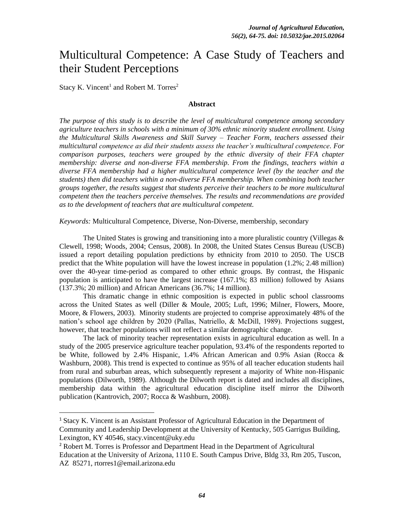# Multicultural Competence: A Case Study of Teachers and their Student Perceptions

Stacy K. Vincent<sup>1</sup> and Robert M. Torres<sup>2</sup>

 $\overline{\phantom{a}}$ 

#### **Abstract**

*The purpose of this study is to describe the level of multicultural competence among secondary agriculture teachers in schools with a minimum of 30% ethnic minority student enrollment. Using the Multicultural Skills Awareness and Skill Survey – Teacher Form, teachers assessed their multicultural competence as did their students assess the teacher's multicultural competence. For comparison purposes, teachers were grouped by the ethnic diversity of their FFA chapter membership: diverse and non-diverse FFA membership. From the findings, teachers within a diverse FFA membership had a higher multicultural competence level (by the teacher and the students) then did teachers within a non-diverse FFA membership. When combining both teacher groups together, the results suggest that students perceive their teachers to be more multicultural competent then the teachers perceive themselves. The results and recommendations are provided as to the development of teachers that are multicultural competent.*

*Keywords:* Multicultural Competence, Diverse, Non-Diverse, membership, secondary

The United States is growing and transitioning into a more pluralistic country (Villegas  $\&$ Clewell, 1998; Woods, 2004; Census, 2008). In 2008, the United States Census Bureau (USCB) issued a report detailing population predictions by ethnicity from 2010 to 2050. The USCB predict that the White population will have the lowest increase in population (1.2%; 2.48 million) over the 40-year time-period as compared to other ethnic groups. By contrast, the Hispanic population is anticipated to have the largest increase (167.1%; 83 million) followed by Asians (137.3%; 20 million) and African Americans (36.7%; 14 million).

This dramatic change in ethnic composition is expected in public school classrooms across the United States as well (Diller & Moule, 2005; Luft, 1996; Milner, Flowers, Moore, Moore, & Flowers, 2003). Minority students are projected to comprise approximately 48% of the nation's school age children by 2020 (Pallas, Natriello, & McDill, 1989). Projections suggest, however, that teacher populations will not reflect a similar demographic change.

The lack of minority teacher representation exists in agricultural education as well. In a study of the 2005 preservice agriculture teacher population, 93.4% of the respondents reported to be White, followed by 2.4% Hispanic, 1.4% African American and 0.9% Asian (Rocca & Washburn, 2008). This trend is expected to continue as 95% of all teacher education students hail from rural and suburban areas, which subsequently represent a majority of White non-Hispanic populations (Dilworth, 1989). Although the Dilworth report is dated and includes all disciplines, membership data within the agricultural education discipline itself mirror the Dilworth publication (Kantrovich, 2007; Rocca & Washburn, 2008).

<sup>1</sup> Stacy K. Vincent is an Assistant Professor of Agricultural Education in the Department of Community and Leadership Development at the University of Kentucky, 505 Garrigus Building, Lexington, KY 40546, stacy.vincent@uky.edu

<sup>&</sup>lt;sup>2</sup> Robert M. Torres is Professor and Department Head in the Department of Agricultural

Education at the University of Arizona, 1110 E. South Campus Drive, Bldg 33, Rm 205, Tuscon, AZ 85271, rtorres1@email.arizona.edu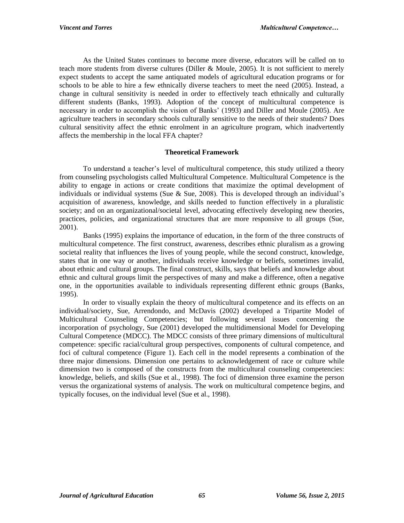As the United States continues to become more diverse, educators will be called on to teach more students from diverse cultures (Diller & Moule, 2005). It is not sufficient to merely expect students to accept the same antiquated models of agricultural education programs or for schools to be able to hire a few ethnically diverse teachers to meet the need (2005). Instead, a change in cultural sensitivity is needed in order to effectively teach ethnically and culturally different students (Banks, 1993). Adoption of the concept of multicultural competence is necessary in order to accomplish the vision of Banks' (1993) and Diller and Moule (2005). Are agriculture teachers in secondary schools culturally sensitive to the needs of their students? Does cultural sensitivity affect the ethnic enrolment in an agriculture program, which inadvertently affects the membership in the local FFA chapter?

## **Theoretical Framework**

To understand a teacher's level of multicultural competence, this study utilized a theory from counseling psychologists called Multicultural Competence. Multicultural Competence is the ability to engage in actions or create conditions that maximize the optimal development of individuals or individual systems (Sue & Sue, 2008). This is developed through an individual's acquisition of awareness, knowledge, and skills needed to function effectively in a pluralistic society; and on an organizational/societal level, advocating effectively developing new theories, practices, policies, and organizational structures that are more responsive to all groups (Sue, 2001).

Banks (1995) explains the importance of education, in the form of the three constructs of multicultural competence. The first construct, awareness, describes ethnic pluralism as a growing societal reality that influences the lives of young people, while the second construct, knowledge, states that in one way or another, individuals receive knowledge or beliefs, sometimes invalid, about ethnic and cultural groups. The final construct, skills, says that beliefs and knowledge about ethnic and cultural groups limit the perspectives of many and make a difference, often a negative one, in the opportunities available to individuals representing different ethnic groups (Banks, 1995).

In order to visually explain the theory of multicultural competence and its effects on an individual/society, Sue, Arrendondo, and McDavis (2002) developed a Tripartite Model of Multicultural Counseling Competencies; but following several issues concerning the incorporation of psychology, Sue (2001) developed the multidimensional Model for Developing Cultural Competence (MDCC). The MDCC consists of three primary dimensions of multicultural competence: specific racial/cultural group perspectives, components of cultural competence, and foci of cultural competence (Figure 1). Each cell in the model represents a combination of the three major dimensions. Dimension one pertains to acknowledgement of race or culture while dimension two is composed of the constructs from the multicultural counseling competencies: knowledge, beliefs, and skills (Sue et al., 1998). The foci of dimension three examine the person versus the organizational systems of analysis. The work on multicultural competence begins, and typically focuses, on the individual level (Sue et al., 1998).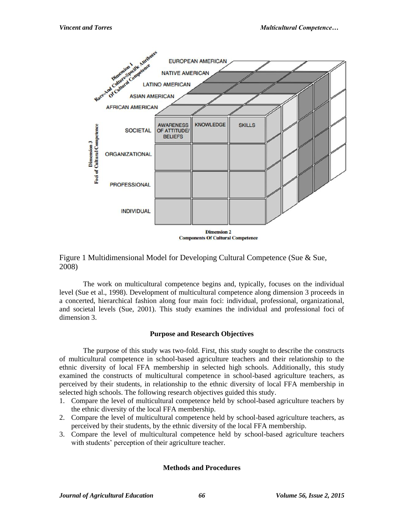

## Figure 1 Multidimensional Model for Developing Cultural Competence (Sue & Sue, 2008)

The work on multicultural competence begins and, typically, focuses on the individual level (Sue et al., 1998). Development of multicultural competence along dimension 3 proceeds in a concerted, hierarchical fashion along four main foci: individual, professional, organizational, and societal levels (Sue, 2001). This study examines the individual and professional foci of dimension 3.

## **Purpose and Research Objectives**

The purpose of this study was two-fold. First, this study sought to describe the constructs of multicultural competence in school-based agriculture teachers and their relationship to the ethnic diversity of local FFA membership in selected high schools. Additionally, this study examined the constructs of multicultural competence in school-based agriculture teachers, as perceived by their students, in relationship to the ethnic diversity of local FFA membership in selected high schools. The following research objectives guided this study.

- 1. Compare the level of multicultural competence held by school-based agriculture teachers by the ethnic diversity of the local FFA membership.
- 2. Compare the level of multicultural competence held by school-based agriculture teachers, as perceived by their students, by the ethnic diversity of the local FFA membership.
- 3. Compare the level of multicultural competence held by school-based agriculture teachers with students' perception of their agriculture teacher.

## **Methods and Procedures**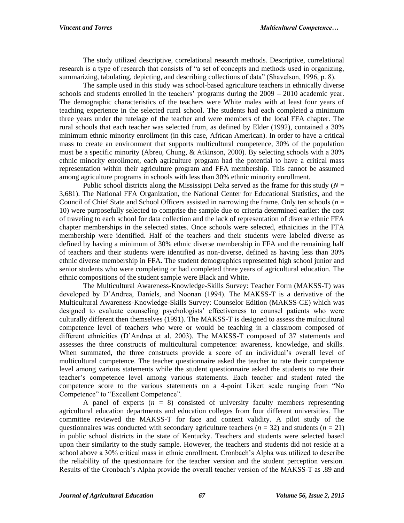The study utilized descriptive, correlational research methods. Descriptive, correlational research is a type of research that consists of "a set of concepts and methods used in organizing, summarizing, tabulating, depicting, and describing collections of data" (Shavelson, 1996, p. 8).

The sample used in this study was school-based agriculture teachers in ethnically diverse schools and students enrolled in the teachers' programs during the 2009 – 2010 academic year. The demographic characteristics of the teachers were White males with at least four years of teaching experience in the selected rural school. The students had each completed a minimum three years under the tutelage of the teacher and were members of the local FFA chapter. The rural schools that each teacher was selected from, as defined by Elder (1992), contained a 30% minimum ethnic minority enrollment (in this case, African American). In order to have a critical mass to create an environment that supports multicultural competence, 30% of the population must be a specific minority (Abreu, Chung, & Atkinson, 2000). By selecting schools with a 30% ethnic minority enrollment, each agriculture program had the potential to have a critical mass representation within their agriculture program and FFA membership. This cannot be assumed among agriculture programs in schools with less than 30% ethnic minority enrollment.

Public school districts along the Mississippi Delta served as the frame for this study ( $N =$ 3,681). The National FFA Organization, the National Center for Educational Statistics, and the Council of Chief State and School Officers assisted in narrowing the frame. Only ten schools (*n* = 10) were purposefully selected to comprise the sample due to criteria determined earlier: the cost of traveling to each school for data collection and the lack of representation of diverse ethnic FFA chapter memberships in the selected states. Once schools were selected, ethnicities in the FFA membership were identified. Half of the teachers and their students were labeled diverse as defined by having a minimum of 30% ethnic diverse membership in FFA and the remaining half of teachers and their students were identified as non-diverse, defined as having less than 30% ethnic diverse membership in FFA. The student demographics represented high school junior and senior students who were completing or had completed three years of agricultural education. The ethnic compositions of the student sample were Black and White.

The Multicultural Awareness-Knowledge-Skills Survey: Teacher Form (MAKSS-T) was developed by D'Andrea, Daniels, and Noonan (1994). The MAKSS-T is a derivative of the Multicultural Awareness-Knowledge-Skills Survey: Counselor Edition (MAKSS-CE) which was designed to evaluate counseling psychologists' effectiveness to counsel patients who were culturally different then themselves (1991). The MAKSS-T is designed to assess the multicultural competence level of teachers who were or would be teaching in a classroom composed of different ethnicities (D'Andrea et al. 2003). The MAKSS-T composed of 37 statements and assesses the three constructs of multicultural competence: awareness, knowledge, and skills. When summated, the three constructs provide a score of an individual's overall level of multicultural competence. The teacher questionnaire asked the teacher to rate their competence level among various statements while the student questionnaire asked the students to rate their teacher's competence level among various statements. Each teacher and student rated the competence score to the various statements on a 4-point Likert scale ranging from "No Competence" to "Excellent Competence".

A panel of experts  $(n = 8)$  consisted of university faculty members representing agricultural education departments and education colleges from four different universities. The committee reviewed the MAKSS-T for face and content validity. A pilot study of the questionnaires was conducted with secondary agriculture teachers  $(n = 32)$  and students  $(n = 21)$ in public school districts in the state of Kentucky. Teachers and students were selected based upon their similarity to the study sample. However, the teachers and students did not reside at a school above a 30% critical mass in ethnic enrollment. Cronbach's Alpha was utilized to describe the reliability of the questionnaire for the teacher version and the student perception version. Results of the Cronbach's Alpha provide the overall teacher version of the MAKSS-T as .89 and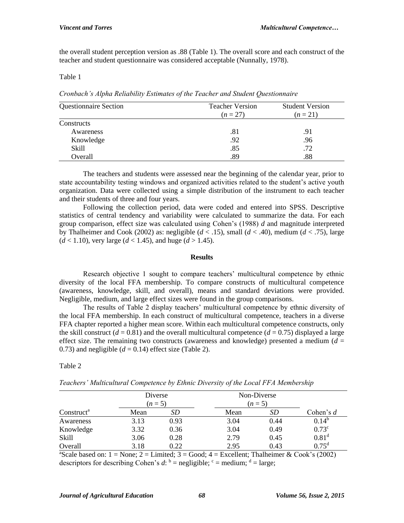the overall student perception version as .88 (Table 1). The overall score and each construct of the teacher and student questionnaire was considered acceptable (Nunnally, 1978).

#### Table 1

*Cronbach's Alpha Reliability Estimates of the Teacher and Student Questionnaire* 

| <b>Questionnaire Section</b> | <b>Teacher Version</b><br>$(n=27)$ | <b>Student Version</b><br>$(n=21)$ |  |
|------------------------------|------------------------------------|------------------------------------|--|
| Constructs                   |                                    |                                    |  |
| Awareness                    | .81                                | .91                                |  |
| Knowledge                    | .92                                | .96                                |  |
| Skill                        | .85                                | .72                                |  |
| Overall                      | .89                                | .88                                |  |

The teachers and students were assessed near the beginning of the calendar year, prior to state accountability testing windows and organized activities related to the student's active youth organization. Data were collected using a simple distribution of the instrument to each teacher and their students of three and four years.

Following the collection period, data were coded and entered into SPSS. Descriptive statistics of central tendency and variability were calculated to summarize the data. For each group comparison, effect size was calculated using Cohen's (1988) *d* and magnitude interpreted by Thalheimer and Cook (2002) as: negligible (*d* < .15), small (*d* < .40), medium (*d* < .75), large  $(d < 1.10)$ , very large  $(d < 1.45)$ , and huge  $(d > 1.45)$ .

#### **Results**

Research objective 1 sought to compare teachers' multicultural competence by ethnic diversity of the local FFA membership. To compare constructs of multicultural competence (awareness, knowledge, skill, and overall), means and standard deviations were provided. Negligible, medium, and large effect sizes were found in the group comparisons.

The results of Table 2 display teachers' multicultural competence by ethnic diversity of the local FFA membership. In each construct of multicultural competence, teachers in a diverse FFA chapter reported a higher mean score. Within each multicultural competence constructs, only the skill construct  $(d = 0.81)$  and the overall multicultural competence  $(d = 0.75)$  displayed a large effect size. The remaining two constructs (awareness and knowledge) presented a medium  $(d =$ 0.73) and negligible  $(d = 0.14)$  effect size (Table 2).

### Table 2

|                        | Diverse<br>$(n=5)$ |      | Non-Diverse<br>$(n=5)$ |      |                |
|------------------------|--------------------|------|------------------------|------|----------------|
| Construct <sup>a</sup> | Mean               | SD.  | Mean                   | SD   | Cohen's $d$    |
| Awareness              | 3.13               | 0.93 | 3.04                   | 0.44 | $0.14^b$       |
| Knowledge              | 3.32               | 0.36 | 3.04                   | 0.49 | $0.73^{\circ}$ |
| Skill                  | 3.06               | 0.28 | 2.79                   | 0.45 | $0.81^d$       |
| Overall                | 3.18               | 0.22 | 2.95                   | 0.43 | $0.75^d$       |

*Teachers' Multicultural Competence by Ethnic Diversity of the Local FFA Membership*

<sup>a</sup>Scale based on:  $1 = \text{None}$ ;  $2 = \text{Limited}$ ;  $3 = \text{Good}$ ;  $4 = \text{Excellent}$ ; Thalheimer & Cook's (2002) descriptors for describing Cohen's  $d$ :  $\phi$  = negligible;  $\phi$  = medium;  $\phi$  = large;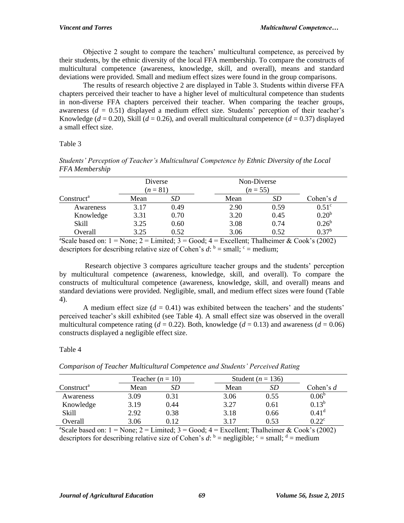Objective 2 sought to compare the teachers' multicultural competence, as perceived by their students, by the ethnic diversity of the local FFA membership. To compare the constructs of multicultural competence (awareness, knowledge, skill, and overall), means and standard deviations were provided. Small and medium effect sizes were found in the group comparisons.

The results of research objective 2 are displayed in Table 3. Students within diverse FFA chapters perceived their teacher to have a higher level of multicultural competence than students in non-diverse FFA chapters perceived their teacher. When comparing the teacher groups, awareness  $(d = 0.51)$  displayed a medium effect size. Students' perception of their teacher's Knowledge ( $d = 0.20$ ), Skill ( $d = 0.26$ ), and overall multicultural competence ( $d = 0.37$ ) displayed a small effect size.

## Table 3

|                | Students' Perception of Teacher's Multicultural Competence by Ethnic Diversity of the Local |  |  |
|----------------|---------------------------------------------------------------------------------------------|--|--|
| FFA Membership |                                                                                             |  |  |

|                        | Diverse<br>$(n = 81)$ |      | Non-Diverse<br>$(n = 55)$ |           |                   |
|------------------------|-----------------------|------|---------------------------|-----------|-------------------|
| Construct <sup>a</sup> | Mean                  | SD   | Mean                      | <i>SD</i> | Cohen's d         |
| Awareness              | 3.17                  | 0.49 | 2.90                      | 0.59      | 0.51 <sup>c</sup> |
| Knowledge              | 3.31                  | 0.70 | 3.20                      | 0.45      | 0.20 <sup>b</sup> |
| Skill                  | 3.25                  | 0.60 | 3.08                      | 0.74      | $0.26^{\rm b}$    |
| Overall                | 3.25                  | 0.52 | 3.06                      | 0.52      | 0.37 <sup>b</sup> |

<sup>a</sup>Scale based on:  $1 = \text{None: } 2 = \text{Limited: } 3 = \text{Good: } 4 = \text{Excellent: } \text{Tableimer} \& \text{ Cook's (2002)}$ descriptors for describing relative size of Cohen's  $d$ :  $\phi$  = small;  $\phi$  = medium;

Research objective 3 compares agriculture teacher groups and the students' perception by multicultural competence (awareness, knowledge, skill, and overall). To compare the constructs of multicultural competence (awareness, knowledge, skill, and overall) means and standard deviations were provided. Negligible, small, and medium effect sizes were found (Table 4).

A medium effect size  $(d = 0.41)$  was exhibited between the teachers' and the students' perceived teacher's skill exhibited (see Table 4). A small effect size was observed in the overall multicultural competence rating ( $d = 0.22$ ). Both, knowledge ( $d = 0.13$ ) and awareness ( $d = 0.06$ ) constructs displayed a negligible effect size.

### Table 4

|                        |      | Teacher $(n = 10)$ |  | Student ( $n = 136$ ) |      |                |
|------------------------|------|--------------------|--|-----------------------|------|----------------|
| Construct <sup>a</sup> | Mean | SD                 |  | Mean                  | SD   | Cohen's $d$    |
| Awareness              | 3.09 | 0.31               |  | 3.06                  | 0.55 | $0.06^{\circ}$ |
| Knowledge              | 3.19 | 0.44               |  | 3.27                  | 0.61 | $0.13^{b}$     |
| Skill                  | 2.92 | 0.38               |  | 3.18                  | 0.66 | $0.41^d$       |
| Overall                | 3.06 | 0.12               |  | 3.17                  | 0.53 | $0.22^{\circ}$ |

*Comparison of Teacher Multicultural Competence and Students' Perceived Rating*

<sup>a</sup>Scale based on:  $1 = \text{None}$ ;  $2 = \text{Limit}$ ;  $3 = \text{Good}$ ;  $4 = \text{Excellent}$ ; Thalheimer & Cook's (2002) descriptors for describing relative size of Cohen's  $d$ :  $\phi$  = negligible;  $\phi$  = small;  $\phi$  = medium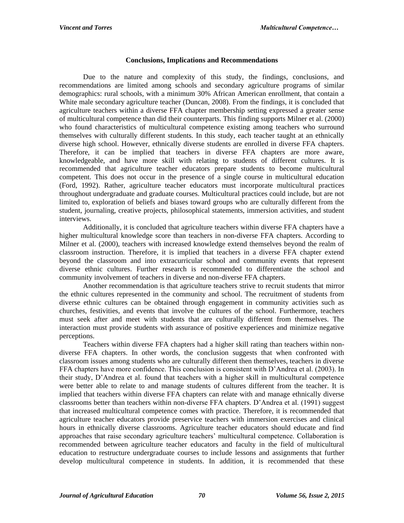## **Conclusions, Implications and Recommendations**

Due to the nature and complexity of this study, the findings, conclusions, and recommendations are limited among schools and secondary agriculture programs of similar demographics: rural schools, with a minimum 30% African American enrollment, that contain a White male secondary agriculture teacher (Duncan, 2008). From the findings, it is concluded that agriculture teachers within a diverse FFA chapter membership setting expressed a greater sense of multicultural competence than did their counterparts. This finding supports Milner et al. (2000) who found characteristics of multicultural competence existing among teachers who surround themselves with culturally different students. In this study, each teacher taught at an ethnically diverse high school. However, ethnically diverse students are enrolled in diverse FFA chapters. Therefore, it can be implied that teachers in diverse FFA chapters are more aware, knowledgeable, and have more skill with relating to students of different cultures. It is recommended that agriculture teacher educators prepare students to become multicultural competent. This does not occur in the presence of a single course in multicultural education (Ford, 1992). Rather, agriculture teacher educators must incorporate multicultural practices throughout undergraduate and graduate courses. Multicultural practices could include, but are not limited to, exploration of beliefs and biases toward groups who are culturally different from the student, journaling, creative projects, philosophical statements, immersion activities, and student interviews.

Additionally, it is concluded that agriculture teachers within diverse FFA chapters have a higher multicultural knowledge score than teachers in non-diverse FFA chapters. According to Milner et al. (2000), teachers with increased knowledge extend themselves beyond the realm of classroom instruction. Therefore, it is implied that teachers in a diverse FFA chapter extend beyond the classroom and into extracurricular school and community events that represent diverse ethnic cultures. Further research is recommended to differentiate the school and community involvement of teachers in diverse and non-diverse FFA chapters.

Another recommendation is that agriculture teachers strive to recruit students that mirror the ethnic cultures represented in the community and school. The recruitment of students from diverse ethnic cultures can be obtained through engagement in community activities such as churches, festivities, and events that involve the cultures of the school. Furthermore, teachers must seek after and meet with students that are culturally different from themselves. The interaction must provide students with assurance of positive experiences and minimize negative perceptions.

Teachers within diverse FFA chapters had a higher skill rating than teachers within nondiverse FFA chapters. In other words, the conclusion suggests that when confronted with classroom issues among students who are culturally different then themselves, teachers in diverse FFA chapters have more confidence. This conclusion is consistent with D'Andrea et al. (2003). In their study, D'Andrea et al. found that teachers with a higher skill in multicultural competence were better able to relate to and manage students of cultures different from the teacher. It is implied that teachers within diverse FFA chapters can relate with and manage ethnically diverse classrooms better than teachers within non-diverse FFA chapters. D'Andrea et al. (1991) suggest that increased multicultural competence comes with practice. Therefore, it is recommended that agriculture teacher educators provide preservice teachers with immersion exercises and clinical hours in ethnically diverse classrooms. Agriculture teacher educators should educate and find approaches that raise secondary agriculture teachers' multicultural competence. Collaboration is recommended between agriculture teacher educators and faculty in the field of multicultural education to restructure undergraduate courses to include lessons and assignments that further develop multicultural competence in students. In addition, it is recommended that these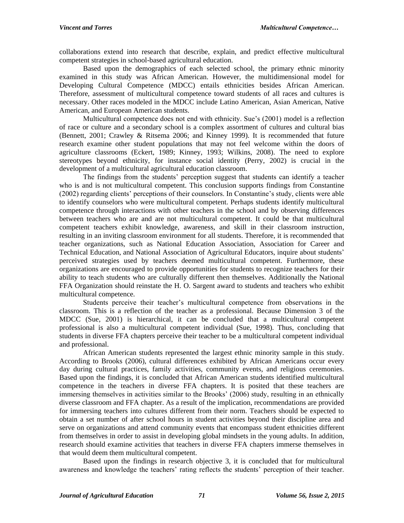collaborations extend into research that describe, explain, and predict effective multicultural competent strategies in school-based agricultural education.

Based upon the demographics of each selected school, the primary ethnic minority examined in this study was African American. However, the multidimensional model for Developing Cultural Competence (MDCC) entails ethnicities besides African American. Therefore, assessment of multicultural competence toward students of all races and cultures is necessary. Other races modeled in the MDCC include Latino American, Asian American, Native American, and European American students.

Multicultural competence does not end with ethnicity. Sue's (2001) model is a reflection of race or culture and a secondary school is a complex assortment of cultures and cultural bias (Bennett, 2001; Crawley & Ritsema 2006; and Kinney 1999). It is recommended that future research examine other student populations that may not feel welcome within the doors of agriculture classrooms (Eckert, 1989; Kinney, 1993; Wilkins, 2008). The need to explore stereotypes beyond ethnicity, for instance social identity (Perry, 2002) is crucial in the development of a multicultural agricultural education classroom.

The findings from the students' perception suggest that students can identify a teacher who is and is not multicultural competent. This conclusion supports findings from Constantine (2002) regarding clients' perceptions of their counselors. In Constantine's study, clients were able to identify counselors who were multicultural competent. Perhaps students identify multicultural competence through interactions with other teachers in the school and by observing differences between teachers who are and are not multicultural competent. It could be that multicultural competent teachers exhibit knowledge, awareness, and skill in their classroom instruction, resulting in an inviting classroom environment for all students. Therefore, it is recommended that teacher organizations, such as National Education Association, Association for Career and Technical Education, and National Association of Agricultural Educators, inquire about students' perceived strategies used by teachers deemed multicultural competent. Furthermore, these organizations are encouraged to provide opportunities for students to recognize teachers for their ability to teach students who are culturally different then themselves. Additionally the National FFA Organization should reinstate the H. O. Sargent award to students and teachers who exhibit multicultural competence.

Students perceive their teacher's multicultural competence from observations in the classroom. This is a reflection of the teacher as a professional. Because Dimension 3 of the MDCC (Sue, 2001) is hierarchical, it can be concluded that a multicultural competent professional is also a multicultural competent individual (Sue, 1998). Thus, concluding that students in diverse FFA chapters perceive their teacher to be a multicultural competent individual and professional.

African American students represented the largest ethnic minority sample in this study. According to Brooks (2006), cultural differences exhibited by African Americans occur every day during cultural practices, family activities, community events, and religious ceremonies. Based upon the findings, it is concluded that African American students identified multicultural competence in the teachers in diverse FFA chapters. It is posited that these teachers are immersing themselves in activities similar to the Brooks' (2006) study, resulting in an ethnically diverse classroom and FFA chapter. As a result of the implication, recommendations are provided for immersing teachers into cultures different from their norm. Teachers should be expected to obtain a set number of after school hours in student activities beyond their discipline area and serve on organizations and attend community events that encompass student ethnicities different from themselves in order to assist in developing global mindsets in the young adults. In addition, research should examine activities that teachers in diverse FFA chapters immerse themselves in that would deem them multicultural competent.

Based upon the findings in research objective 3, it is concluded that for multicultural awareness and knowledge the teachers' rating reflects the students' perception of their teacher.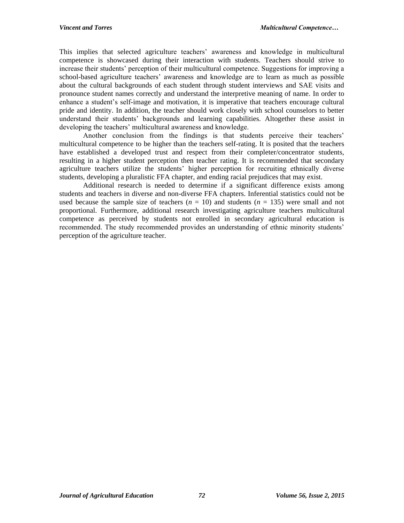This implies that selected agriculture teachers' awareness and knowledge in multicultural competence is showcased during their interaction with students. Teachers should strive to increase their students' perception of their multicultural competence. Suggestions for improving a school-based agriculture teachers' awareness and knowledge are to learn as much as possible about the cultural backgrounds of each student through student interviews and SAE visits and pronounce student names correctly and understand the interpretive meaning of name. In order to enhance a student's self-image and motivation, it is imperative that teachers encourage cultural pride and identity. In addition, the teacher should work closely with school counselors to better understand their students' backgrounds and learning capabilities. Altogether these assist in developing the teachers' multicultural awareness and knowledge.

Another conclusion from the findings is that students perceive their teachers' multicultural competence to be higher than the teachers self-rating. It is posited that the teachers have established a developed trust and respect from their completer/concentrator students, resulting in a higher student perception then teacher rating. It is recommended that secondary agriculture teachers utilize the students' higher perception for recruiting ethnically diverse students, developing a pluralistic FFA chapter, and ending racial prejudices that may exist.

Additional research is needed to determine if a significant difference exists among students and teachers in diverse and non-diverse FFA chapters. Inferential statistics could not be used because the sample size of teachers  $(n = 10)$  and students  $(n = 135)$  were small and not proportional. Furthermore, additional research investigating agriculture teachers multicultural competence as perceived by students not enrolled in secondary agricultural education is recommended. The study recommended provides an understanding of ethnic minority students' perception of the agriculture teacher.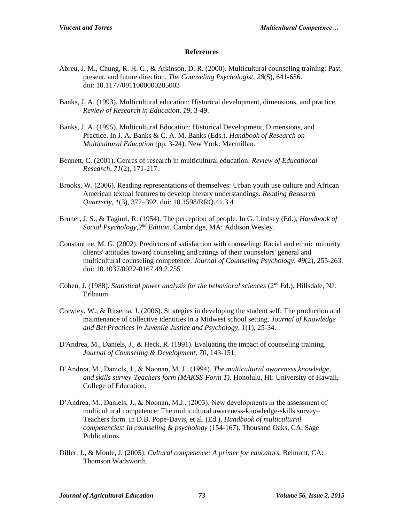#### **References**

- Abreu, J. M., Chung, R. H. G., & Atkinson, D. R. (2000). Multicultural counseling training: Past, present, and future direction. *The Counseling Psychologist, 28*(5), 641-656. doi: 10.1177/0011000000285003
- Banks, J. A. (1993). Multicultural education: Historical development, dimensions, and practice*. Review of Research in Education, 19*, 3-49.
- Banks, J. A. (1995). Multicultural Education: Historical Development, Dimensions, and Practice. In J. A. Banks & C. A. M. Banks (Eds.). *Handbook of Research on Multicultural Education* (pp. 3-24). New York: Macmillan.
- Bennett, C. (2001). Genres of research in multicultural education. *Review of Educational Research, 71*(2), 171-217.
- Brooks, W. (2006). Reading representations of themselves: Urban youth use culture and African American textual features to develop literary understandings. *Reading Research Quarterly, 1*(3), 372–392. doi: 10.1598/RRQ.41.3.4
- Bruner, J. S., & Tagiuri, R. (1954). The perception of people. In G. Lindsey (Ed.), *Handbook of Social Psychology,2nd Edition.* Cambridge, MA: Addison Wesley.
- Constantine, M. G. (2002). Predictors of satisfaction with counseling: Racial and ethnic minority clients' attitudes toward counseling and ratings of their counselors' general and multicultural counseling competence. *Journal of Counseling Psychology. 49*(2), 255-263. doi: 10.1037/0022-0167.49.2.255
- Cohen, J. (1988). *Statistical power analysis for the behavioral sciences* (2<sup>nd</sup> Ed.). Hillsdale, NJ: Erlbaum.
- Crawley, W., & Ritsema, J. (2006). Strategies in developing the student self: The production and maintenance of collective identities in a Midwest school setting. *Journal of Knowledge and Bet Practices in Juvenile Justice and Psychology, 1*(1), 25-34.
- D'Andrea, M., Daniels, J., & Heck, R. (1991). Evaluating the impact of counseling training. *Journal of Counseling & Development, 70*, 143-151.
- D'Andrea, M., Daniels, J., & Noonan, M. J., (1994). *The multicultural awareness,knowledge, and skills survey-Teachers form (MAKSS-Form T).* Honolulu, HI: University of Hawaii, College of Education.
- D'Andrea, M., Daniels, J., & Noonan, M.J., (2003). New developments in the assessment of multicultural competence: The multicultural awareness-knowledge-skills survey– Teachers form. In D.B. Pope-Davis, et al. (Ed.), *Handbook of multicultural competencies: In counseling & psychology* (154-167). Thousand Oaks, CA: Sage Publications.
- Diller, J., & Moule, J. (2005). *Cultural competence: A primer for educators.* Belmont, CA: Thomson Wadsworth.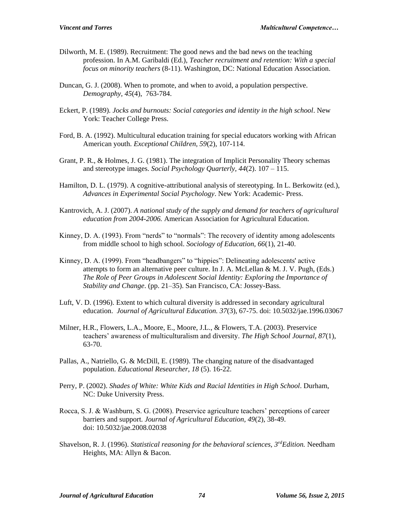- Dilworth, M. E. (1989). Recruitment: The good news and the bad news on the teaching profession. In A.M. Garibaldi (Ed.), *Teacher recruitment and retention: With a special focus on minority teachers* (8-11). Washington, DC: National Education Association.
- Duncan, G. J. (2008). When to promote, and when to avoid, a population perspective. *Demography, 45*(4), 763-784.
- Eckert, P. (1989). *Jocks and burnouts: Social categories and identity in the high school*. New York: Teacher College Press.
- Ford, B. A. (1992). Multicultural education training for special educators working with African American youth. *Exceptional Children, 59*(2), 107-114.
- Grant, P. R., & Holmes, J. G. (1981). The integration of Implicit Personality Theory schemas and stereotype images. *Social Psychology Quarterly, 44*(2). 107 – 115.
- Hamilton, D. L. (1979). A cognitive-attributional analysis of stereotyping. In L. Berkowitz (ed.), *Advances in Experimental Social Psychology*. New York: Academic- Press.
- Kantrovich, A. J. (2007). *A national study of the supply and demand for teachers of agricultural education from 2004-2006.* American Association for Agricultural Education.
- Kinney, D. A. (1993). From "nerds" to "normals": The recovery of identity among adolescents from middle school to high school. *Sociology of Education, 66*(1), 21-40.
- Kinney, D. A. (1999). From "headbangers" to "hippies": Delineating adolescents' active attempts to form an alternative peer culture. In J. A. McLellan & M. J. V. Pugh, (Eds.) *The Role of Peer Groups in Adolescent Social Identity: Exploring the Importance of Stability and Change*. (pp. 21–35). San Francisco, CA: Jossey-Bass.
- Luft, V. D. (1996). Extent to which cultural diversity is addressed in secondary agricultural education. *Journal of Agricultural Education. 37*(3), 67-75. doi: 10.5032/jae.1996.03067
- Milner, H.R., Flowers, L.A., Moore, E., Moore, J.L., & Flowers, T.A. (2003). Preservice teachers' awareness of multiculturalism and diversity. *The High School Journal, 87*(1), 63-70.
- Pallas, A., Natriello, G. & McDill, E. (1989). The changing nature of the disadvantaged population. *Educational Researcher*, *18* (5). 16-22.
- Perry, P. (2002). *Shades of White: White Kids and Racial Identities in High School*. Durham, NC: Duke University Press.
- Rocca, S. J. & Washburn, S. G. (2008). Preservice agriculture teachers' perceptions of career barriers and support. *Journal of Agricultural Education, 49*(2), 38-49. doi: 10.5032/jae.2008.02038
- Shavelson, R. J. (1996). *Statistical reasoning for the behavioral sciences, 3rdEdition.* Needham Heights, MA: Allyn & Bacon.